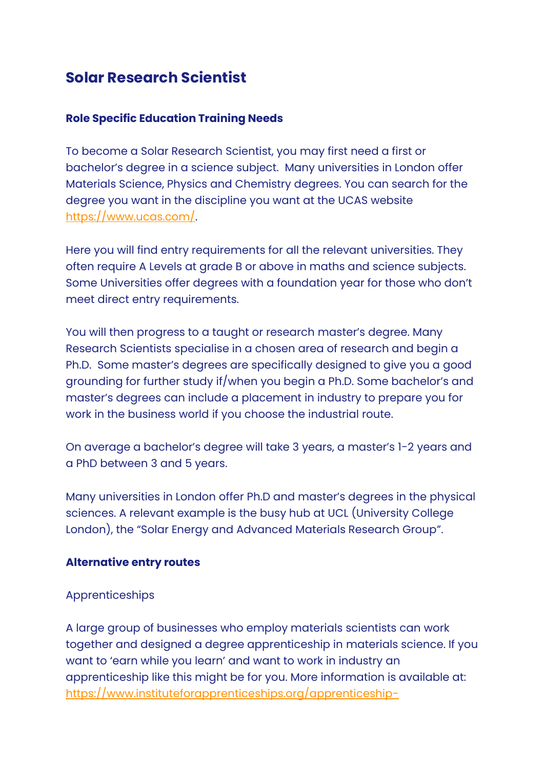# **Solar Research Scientist**

### **Role Specific Education Training Needs**

To become a Solar Research Scientist, you may first need a first or bachelor's degree in a science subject. Many universities in London offer Materials Science, Physics and Chemistry degrees. You can search for the degree you want in the discipline you want at the UCAS website [https://www.ucas.com/.](https://www.ucas.com/)

Here you will find entry requirements for all the relevant universities. They often require A Levels at grade B or above in maths and science subjects. Some Universities offer degrees with a foundation year for those who don't meet direct entry requirements.

You will then progress to a taught or research master's degree. Many Research Scientists specialise in a chosen area of research and begin a Ph.D. Some master's degrees are specifically designed to give you a good grounding for further study if/when you begin a Ph.D. Some bachelor's and master's degrees can include a placement in industry to prepare you for work in the business world if you choose the industrial route.

On average a bachelor's degree will take 3 years, a master's 1-2 years and a PhD between 3 and 5 years.

Many universities in London offer Ph.D and master's degrees in the physical sciences. A relevant example is the busy hub at UCL (University College London), the "Solar Energy and Advanced Materials Research Group".

#### **Alternative entry routes**

#### Apprenticeships

A large group of businesses who employ materials scientists can work together and designed a degree apprenticeship in materials science. If you want to 'earn while you learn' and want to work in industry an apprenticeship like this might be for you. More information is available at: [https://www.instituteforapprenticeships.org/apprenticeship-](https://www.instituteforapprenticeships.org/apprenticeship-standards/materials-science-technologist-degree-v1-0)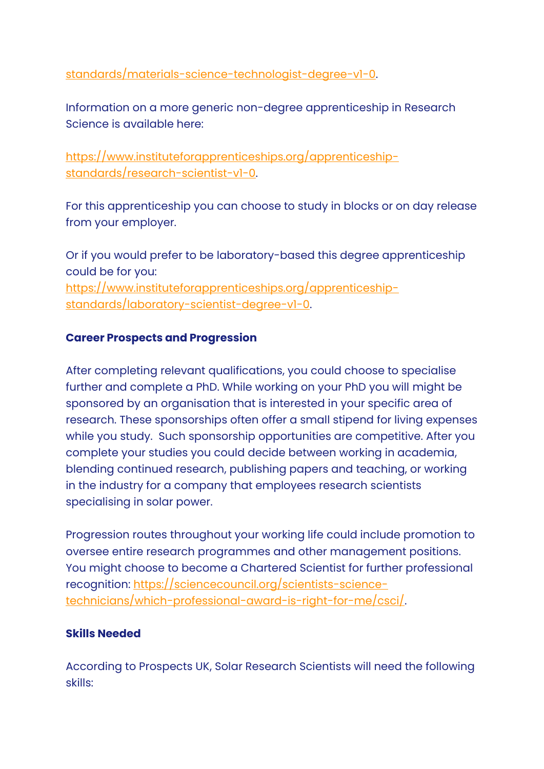[standards/materials-science-technologist-degree-v1-0.](https://www.instituteforapprenticeships.org/apprenticeship-standards/materials-science-technologist-degree-v1-0)

Information on a more generic non-degree apprenticeship in Research Science is available here:

[https://www.instituteforapprenticeships.org/apprenticeship](https://www.instituteforapprenticeships.org/apprenticeship-standards/research-scientist-v1-0)[standards/research-scientist-v1-0.](https://www.instituteforapprenticeships.org/apprenticeship-standards/research-scientist-v1-0)

For this apprenticeship you can choose to study in blocks or on day release from your employer.

Or if you would prefer to be laboratory-based this degree apprenticeship could be for you: [https://www.instituteforapprenticeships.org/apprenticeship](https://www.instituteforapprenticeships.org/apprenticeship-standards/laboratory-scientist-degree-v1-0)[standards/laboratory-scientist-degree-v1-0.](https://www.instituteforapprenticeships.org/apprenticeship-standards/laboratory-scientist-degree-v1-0)

#### **Career Prospects and Progression**

After completing relevant qualifications, you could choose to specialise further and complete a PhD. While working on your PhD you will might be sponsored by an organisation that is interested in your specific area of research. These sponsorships often offer a small stipend for living expenses while you study. Such sponsorship opportunities are competitive. After you complete your studies you could decide between working in academia, blending continued research, publishing papers and teaching, or working in the industry for a company that employees research scientists specialising in solar power.

Progression routes throughout your working life could include promotion to oversee entire research programmes and other management positions. You might choose to become a Chartered Scientist for further professional recognition: [https://sciencecouncil.org/scientists-science](https://sciencecouncil.org/scientists-science-technicians/which-professional-award-is-right-for-me/csci/)[technicians/which-professional-award-is-right-for-me/csci/.](https://sciencecouncil.org/scientists-science-technicians/which-professional-award-is-right-for-me/csci/)

#### **Skills Needed**

According to Prospects UK, Solar Research Scientists will need the following skills: